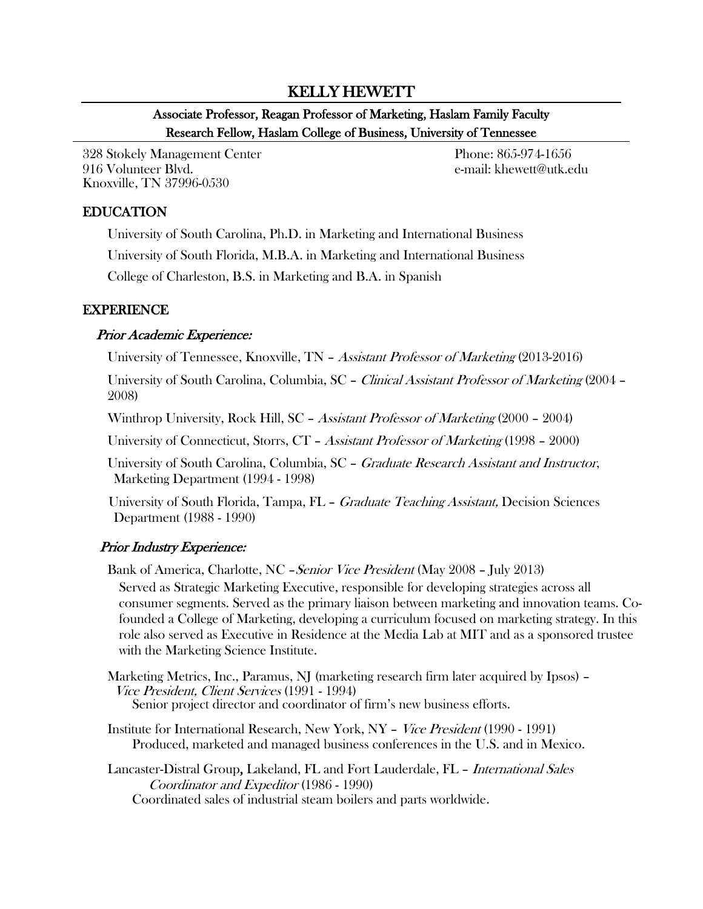## KELLY HEWETT

# Associate Professor, Reagan Professor of Marketing, Haslam Family Faculty Research Fellow, Haslam College of Business, University of Tennessee

328 Stokely Management Center Phone: 865-974-1656 916 Volunteer Blvd. e-mail: khewett@utk.edu Knoxville, TN 37996-0530

### EDUCATION

University of South Carolina, Ph.D. in Marketing and International Business University of South Florida, M.B.A. in Marketing and International Business

College of Charleston, B.S. in Marketing and B.A. in Spanish

### EXPERIENCE

### Prior Academic Experience:

University of Tennessee, Knoxville, TN – Assistant Professor of Marketing (2013-2016)

University of South Carolina, Columbia, SC – Clinical Assistant Professor of Marketing (2004 – 2008)

Winthrop University, Rock Hill, SC – Assistant Professor of Marketing (2000 – 2004)

University of Connecticut, Storrs, CT – Assistant Professor of Marketing (1998 – 2000)

University of South Carolina, Columbia, SC – *Graduate Research Assistant and Instructor*, Marketing Department (1994 - 1998)

University of South Florida, Tampa, FL – *Graduate Teaching Assistant*, Decision Sciences Department (1988 - 1990)

## Prior Industry Experience:

Bank of America, Charlotte, NC *– Senior Vice President* (May 2008 – July 2013)

Served as Strategic Marketing Executive, responsible for developing strategies across all consumer segments. Served as the primary liaison between marketing and innovation teams. Cofounded a College of Marketing, developing a curriculum focused on marketing strategy. In this role also served as Executive in Residence at the Media Lab at MIT and as a sponsored trustee with the Marketing Science Institute.

Marketing Metrics, Inc., Paramus, NJ (marketing research firm later acquired by Ipsos) – Vice President, Client Services (1991 - 1994) Senior project director and coordinator of firm's new business efforts.

Institute for International Research, New York, NY – Vice President (1990 - 1991) Produced, marketed and managed business conferences in the U.S. and in Mexico.

Lancaster-Distral Group, Lakeland, FL and Fort Lauderdale, FL – International Sales Coordinator and Expeditor (1986 - 1990) Coordinated sales of industrial steam boilers and parts worldwide.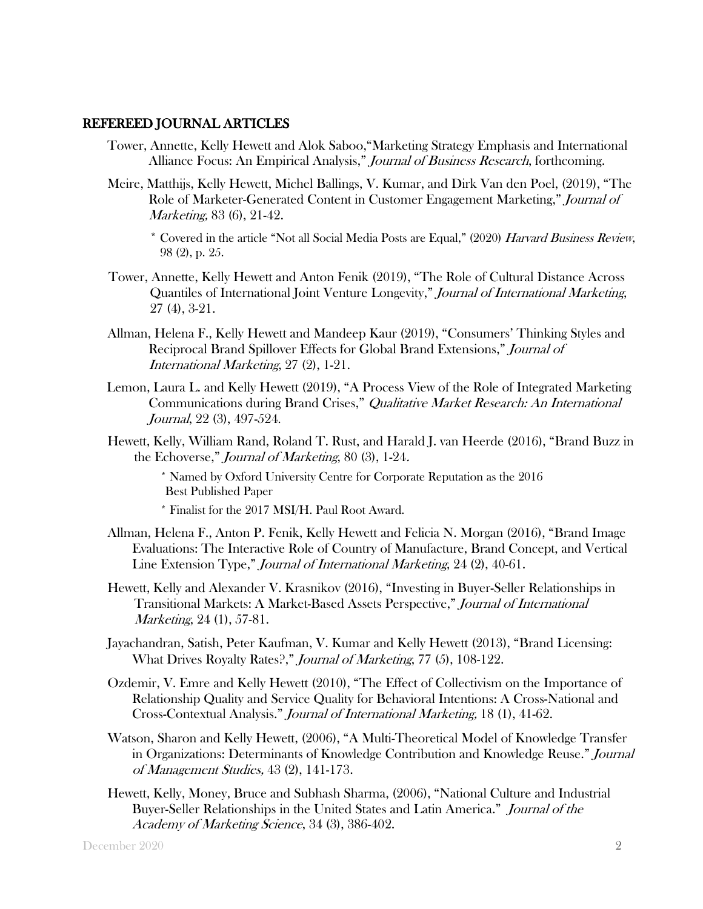#### REFEREED JOURNAL ARTICLES

- Tower, Annette, Kelly Hewett and Alok Saboo,"Marketing Strategy Emphasis and International Alliance Focus: An Empirical Analysis," *Journal of Business Research*, forthcoming.
- Meire, Matthijs, Kelly Hewett, Michel Ballings, V. Kumar, and Dirk Van den Poel, (2019), "The Role of Marketer-Generated Content in Customer Engagement Marketing," Journal of Marketing, 83 (6), 21-42.

\* Covered in the article "Not all Social Media Posts are Equal," (2020) Harvard Business Review, 98 (2), p. 25.

- Tower, Annette, Kelly Hewett and Anton Fenik (2019), "The Role of Cultural Distance Across Quantiles of International Joint Venture Longevity," Journal of International Marketing, 27 (4), 3-21.
- Allman, Helena F., Kelly Hewett and Mandeep Kaur (2019), "Consumers' Thinking Styles and Reciprocal Brand Spillover Effects for Global Brand Extensions," Journal of International Marketing, 27 (2), 1-21.
- Lemon, Laura L. and Kelly Hewett (2019), "A Process View of the Role of Integrated Marketing Communications during Brand Crises," Qualitative Market Research: An International Journal, 22 (3), 497-524.
- Hewett, Kelly, William Rand, Roland T. Rust, and Harald J. van Heerde (2016), "Brand Buzz in the Echoverse," Journal of Marketing, 80 (3), 1-24.

\* Named by Oxford University Centre for Corporate Reputation as the 2016 Best Published Paper

- \* Finalist for the 2017 MSI/H. Paul Root Award.
- Allman, Helena F., Anton P. Fenik, Kelly Hewett and Felicia N. Morgan (2016), "Brand Image Evaluations: The Interactive Role of Country of Manufacture, Brand Concept, and Vertical Line Extension Type," Journal of International Marketing, 24 (2), 40-61.
- Hewett, Kelly and Alexander V. Krasnikov (2016), "Investing in Buyer-Seller Relationships in Transitional Markets: A Market-Based Assets Perspective," Journal of International Marketing, 24 (1), 57-81.
- Jayachandran, Satish, Peter Kaufman, V. Kumar and Kelly Hewett (2013), "Brand Licensing: What Drives Royalty Rates?," Journal of Marketing, 77 (5), 108-122.
- Ozdemir, V. Emre and Kelly Hewett (2010), "The Effect of Collectivism on the Importance of Relationship Quality and Service Quality for Behavioral Intentions: A Cross-National and Cross-Contextual Analysis." Journal of International Marketing, 18 (1), 41-62.
- Watson, Sharon and Kelly Hewett, (2006), "A Multi-Theoretical Model of Knowledge Transfer in Organizations: Determinants of Knowledge Contribution and Knowledge Reuse." Journal of Management Studies, 43 (2), 141-173.
- Hewett, Kelly, Money, Bruce and Subhash Sharma, (2006), "National Culture and Industrial Buyer-Seller Relationships in the United States and Latin America." Journal of the Academy of Marketing Science, 34 (3), 386-402.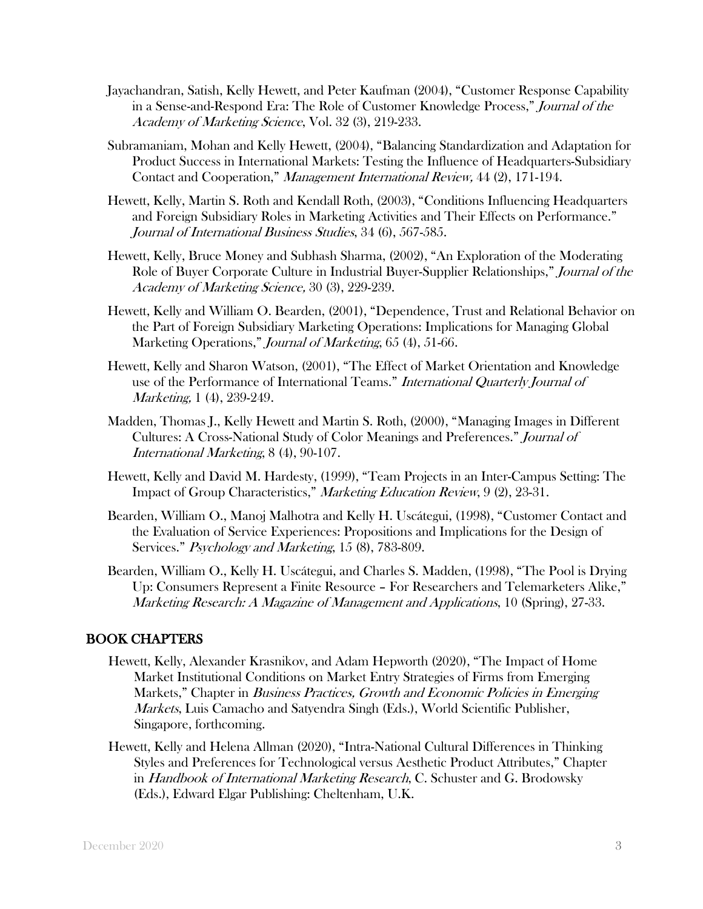- Jayachandran, Satish, Kelly Hewett, and Peter Kaufman (2004), "Customer Response Capability in a Sense-and-Respond Era: The Role of Customer Knowledge Process," Journal of the Academy of Marketing Science, Vol. 32 (3), 219-233.
- Subramaniam, Mohan and Kelly Hewett, (2004), "Balancing Standardization and Adaptation for Product Success in International Markets: Testing the Influence of Headquarters-Subsidiary Contact and Cooperation," Management International Review, 44 (2), 171-194.
- Hewett, Kelly, Martin S. Roth and Kendall Roth, (2003), "Conditions Influencing Headquarters and Foreign Subsidiary Roles in Marketing Activities and Their Effects on Performance." Journal of International Business Studies, 34 (6), 567-585.
- Hewett, Kelly, Bruce Money and Subhash Sharma, (2002), "An Exploration of the Moderating Role of Buyer Corporate Culture in Industrial Buyer-Supplier Relationships," Journal of the Academy of Marketing Science, 30 (3), 229-239.
- Hewett, Kelly and William O. Bearden, (2001), "Dependence, Trust and Relational Behavior on the Part of Foreign Subsidiary Marketing Operations: Implications for Managing Global Marketing Operations," Journal of Marketing, 65 (4), 51-66.
- Hewett, Kelly and Sharon Watson, (2001), "The Effect of Market Orientation and Knowledge use of the Performance of International Teams." *International Quarterly Journal of* Marketing, 1 (4), 239-249.
- Madden, Thomas J., Kelly Hewett and Martin S. Roth, (2000), "Managing Images in Different Cultures: A Cross-National Study of Color Meanings and Preferences." Journal of International Marketing, 8 (4), 90-107.
- Hewett, Kelly and David M. Hardesty, (1999), "Team Projects in an Inter-Campus Setting: The Impact of Group Characteristics," Marketing Education Review, 9 (2), 23-31.
- Bearden, William O., Manoj Malhotra and Kelly H. Uscátegui, (1998), "Customer Contact and the Evaluation of Service Experiences: Propositions and Implications for the Design of Services." Psychology and Marketing, 15 (8), 783-809.
- Bearden, William O., Kelly H. Uscátegui, and Charles S. Madden, (1998), "The Pool is Drying Up: Consumers Represent a Finite Resource – For Researchers and Telemarketers Alike," Marketing Research: A Magazine of Management and Applications, 10 (Spring), 27-33.

## BOOK CHAPTERS

- Hewett, Kelly, Alexander Krasnikov, and Adam Hepworth (2020), "The Impact of Home Market Institutional Conditions on Market Entry Strategies of Firms from Emerging Markets," Chapter in *Business Practices, Growth and Economic Policies in Emerging* Markets, Luis Camacho and Satyendra Singh (Eds.), World Scientific Publisher, Singapore, forthcoming.
- Hewett, Kelly and Helena Allman (2020), "Intra-National Cultural Differences in Thinking Styles and Preferences for Technological versus Aesthetic Product Attributes," Chapter in Handbook of International Marketing Research, C. Schuster and G. Brodowsky (Eds.), Edward Elgar Publishing: Cheltenham, U.K.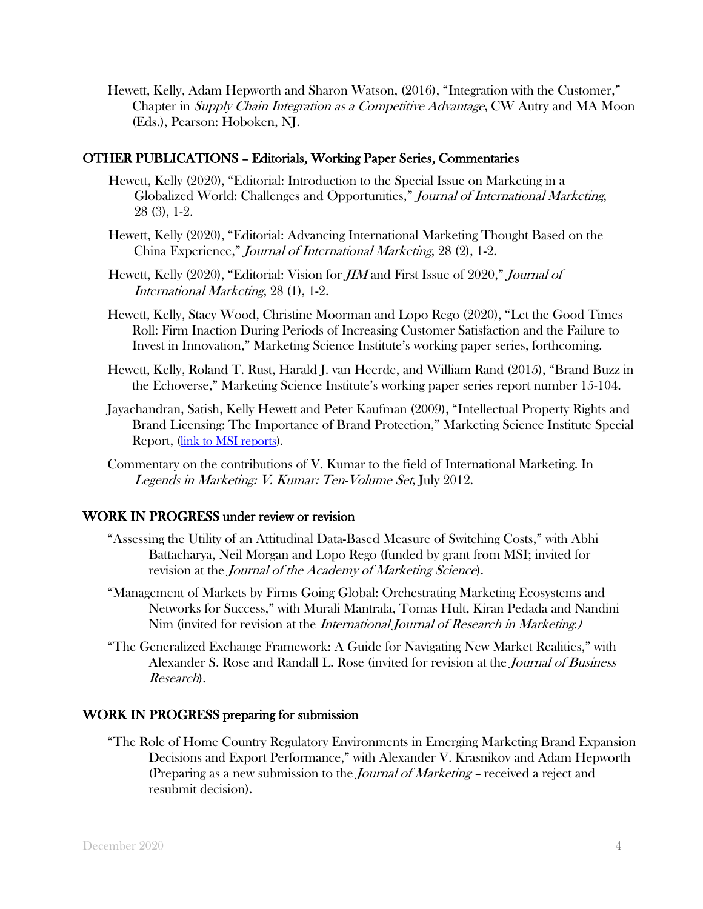Hewett, Kelly, Adam Hepworth and Sharon Watson, (2016), "Integration with the Customer," Chapter in Supply Chain Integration as a Competitive Advantage, CW Autry and MA Moon (Eds.), Pearson: Hoboken, NJ.

#### OTHER PUBLICATIONS – Editorials, Working Paper Series, Commentaries

- Hewett, Kelly (2020), "Editorial: Introduction to the Special Issue on Marketing in a Globalized World: Challenges and Opportunities," Journal of International Marketing, 28 (3), 1-2.
- Hewett, Kelly (2020), "Editorial: Advancing International Marketing Thought Based on the China Experience," Journal of International Marketing, 28 (2), 1-2.
- Hewett, Kelly (2020), "Editorial: Vision for JIM and First Issue of 2020," Journal of International Marketing, 28 (1), 1-2.
- Hewett, Kelly, Stacy Wood, Christine Moorman and Lopo Rego (2020), "Let the Good Times Roll: Firm Inaction During Periods of Increasing Customer Satisfaction and the Failure to Invest in Innovation," Marketing Science Institute's working paper series, forthcoming.
- Hewett, Kelly, Roland T. Rust, Harald J. van Heerde, and William Rand (2015), "Brand Buzz in the Echoverse," Marketing Science Institute's working paper series report number 15-104.
- Jayachandran, Satish, Kelly Hewett and Peter Kaufman (2009), "Intellectual Property Rights and Brand Licensing: The Importance of Brand Protection," Marketing Science Institute Special Report, [\(link to MSI reports\)](http://www.msi.org/publications/publication.cfm?pub=1568).
- Commentary on the contributions of V. Kumar to the field of International Marketing. In Legends in Marketing: V. Kumar: Ten-Volume Set, July 2012.

#### WORK IN PROGRESS under review or revision

- "Assessing the Utility of an Attitudinal Data-Based Measure of Switching Costs," with Abhi Battacharya, Neil Morgan and Lopo Rego (funded by grant from MSI; invited for revision at the *Journal of the Academy of Marketing Science*).
- "Management of Markets by Firms Going Global: Orchestrating Marketing Ecosystems and Networks for Success," with Murali Mantrala, Tomas Hult, Kiran Pedada and Nandini Nim (invited for revision at the International Journal of Research in Marketing.)
- "The Generalized Exchange Framework: A Guide for Navigating New Market Realities," with Alexander S. Rose and Randall L. Rose (invited for revision at the *Journal of Business* Research).

#### WORK IN PROGRESS preparing for submission

"The Role of Home Country Regulatory Environments in Emerging Marketing Brand Expansion Decisions and Export Performance," with Alexander V. Krasnikov and Adam Hepworth (Preparing as a new submission to the *Journal of Marketing* - received a reject and resubmit decision).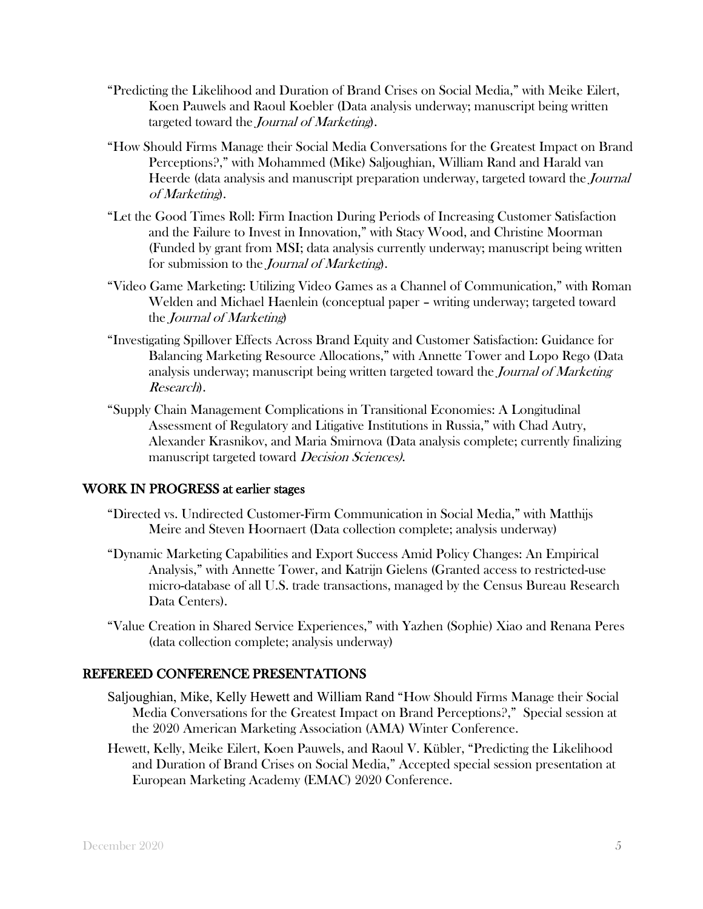- "Predicting the Likelihood and Duration of Brand Crises on Social Media," with Meike Eilert, Koen Pauwels and Raoul Koebler (Data analysis underway; manuscript being written targeted toward the *Journal of Marketing*).
- "How Should Firms Manage their Social Media Conversations for the Greatest Impact on Brand Perceptions?," with Mohammed (Mike) Saljoughian, William Rand and Harald van Heerde (data analysis and manuscript preparation underway, targeted toward the Journal of Marketing).
- "Let the Good Times Roll: Firm Inaction During Periods of Increasing Customer Satisfaction and the Failure to Invest in Innovation," with Stacy Wood, and Christine Moorman (Funded by grant from MSI; data analysis currently underway; manuscript being written for submission to the *Journal of Marketing*).
- "Video Game Marketing: Utilizing Video Games as a Channel of Communication," with Roman Welden and Michael Haenlein (conceptual paper – writing underway; targeted toward the Journal of Marketing)
- "Investigating Spillover Effects Across Brand Equity and Customer Satisfaction: Guidance for Balancing Marketing Resource Allocations," with Annette Tower and Lopo Rego (Data analysis underway; manuscript being written targeted toward the Journal of Marketing Research).
- "Supply Chain Management Complications in Transitional Economies: A Longitudinal Assessment of Regulatory and Litigative Institutions in Russia," with Chad Autry, Alexander Krasnikov, and Maria Smirnova (Data analysis complete; currently finalizing manuscript targeted toward *Decision Sciences*).

### WORK IN PROGRESS at earlier stages

- "Directed vs. Undirected Customer-Firm Communication in Social Media," with Matthijs Meire and Steven Hoornaert (Data collection complete; analysis underway)
- "Dynamic Marketing Capabilities and Export Success Amid Policy Changes: An Empirical Analysis," with Annette Tower, and Katrijn Gielens (Granted access to restricted-use micro-database of all U.S. trade transactions, managed by the Census Bureau Research Data Centers).
- "Value Creation in Shared Service Experiences," with Yazhen (Sophie) Xiao and Renana Peres (data collection complete; analysis underway)

### REFEREED CONFERENCE PRESENTATIONS

- Saljoughian, Mike, Kelly Hewett and William Rand "How Should Firms Manage their Social Media Conversations for the Greatest Impact on Brand Perceptions?," Special session at the 2020 American Marketing Association (AMA) Winter Conference.
- Hewett, Kelly, Meike Eilert, Koen Pauwels, and Raoul V. Kübler, "Predicting the Likelihood and Duration of Brand Crises on Social Media," Accepted special session presentation at European Marketing Academy (EMAC) 2020 Conference.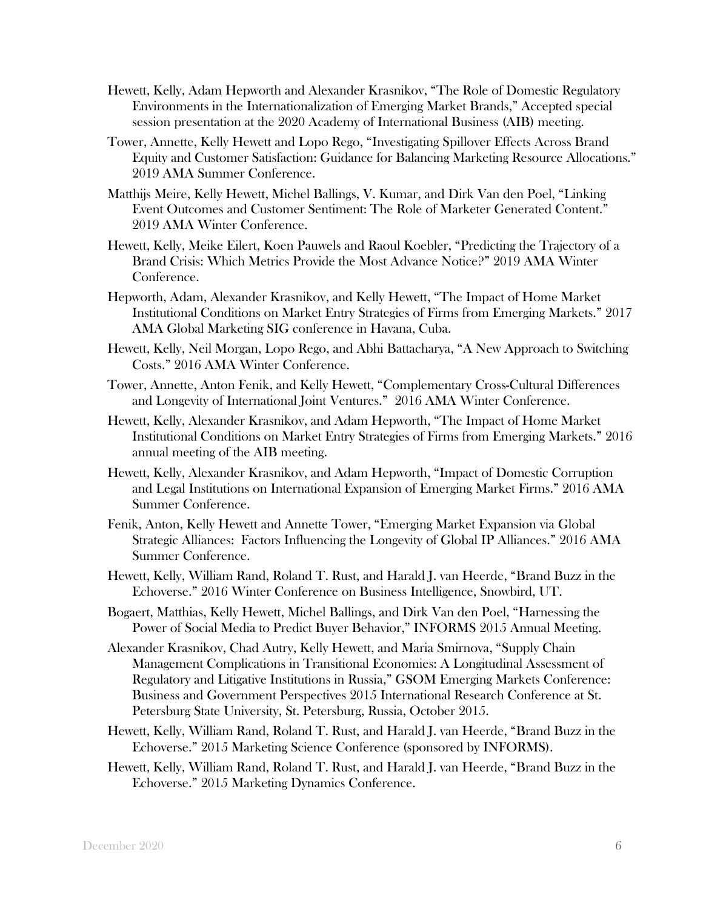- Hewett, Kelly, Adam Hepworth and Alexander Krasnikov, "The Role of Domestic Regulatory Environments in the Internationalization of Emerging Market Brands," Accepted special session presentation at the 2020 Academy of International Business (AIB) meeting.
- Tower, Annette, Kelly Hewett and Lopo Rego, "Investigating Spillover Effects Across Brand Equity and Customer Satisfaction: Guidance for Balancing Marketing Resource Allocations." 2019 AMA Summer Conference.
- Matthijs Meire, Kelly Hewett, Michel Ballings, V. Kumar, and Dirk Van den Poel, "Linking Event Outcomes and Customer Sentiment: The Role of Marketer Generated Content." 2019 AMA Winter Conference.
- Hewett, Kelly, Meike Eilert, Koen Pauwels and Raoul Koebler, "Predicting the Trajectory of a Brand Crisis: Which Metrics Provide the Most Advance Notice?" 2019 AMA Winter Conference.
- Hepworth, Adam, Alexander Krasnikov, and Kelly Hewett, "The Impact of Home Market Institutional Conditions on Market Entry Strategies of Firms from Emerging Markets." 2017 AMA Global Marketing SIG conference in Havana, Cuba.
- Hewett, Kelly, Neil Morgan, Lopo Rego, and Abhi Battacharya, "A New Approach to Switching Costs." 2016 AMA Winter Conference.
- Tower, Annette, Anton Fenik, and Kelly Hewett, "Complementary Cross-Cultural Differences and Longevity of International Joint Ventures." 2016 AMA Winter Conference.
- Hewett, Kelly, Alexander Krasnikov, and Adam Hepworth, "The Impact of Home Market Institutional Conditions on Market Entry Strategies of Firms from Emerging Markets." 2016 annual meeting of the AIB meeting.
- Hewett, Kelly, Alexander Krasnikov, and Adam Hepworth, "Impact of Domestic Corruption and Legal Institutions on International Expansion of Emerging Market Firms." 2016 AMA Summer Conference.
- Fenik, Anton, Kelly Hewett and Annette Tower, "Emerging Market Expansion via Global Strategic Alliances: Factors Influencing the Longevity of Global IP Alliances." 2016 AMA Summer Conference.
- Hewett, Kelly, William Rand, Roland T. Rust, and Harald J. van Heerde, "Brand Buzz in the Echoverse." 2016 Winter Conference on Business Intelligence, Snowbird, UT.
- Bogaert, Matthias, Kelly Hewett, Michel Ballings, and Dirk Van den Poel, "Harnessing the Power of Social Media to Predict Buyer Behavior," INFORMS 2015 Annual Meeting.
- Alexander Krasnikov, Chad Autry, Kelly Hewett, and Maria Smirnova, "Supply Chain Management Complications in Transitional Economies: A Longitudinal Assessment of Regulatory and Litigative Institutions in Russia," GSOM Emerging Markets Conference: Business and Government Perspectives 2015 International Research Conference at St. Petersburg State University, St. Petersburg, Russia, October 2015.
- Hewett, Kelly, William Rand, Roland T. Rust, and Harald J. van Heerde, "Brand Buzz in the Echoverse." 2015 Marketing Science Conference (sponsored by INFORMS).
- Hewett, Kelly, William Rand, Roland T. Rust, and Harald J. van Heerde, "Brand Buzz in the Echoverse." 2015 Marketing Dynamics Conference.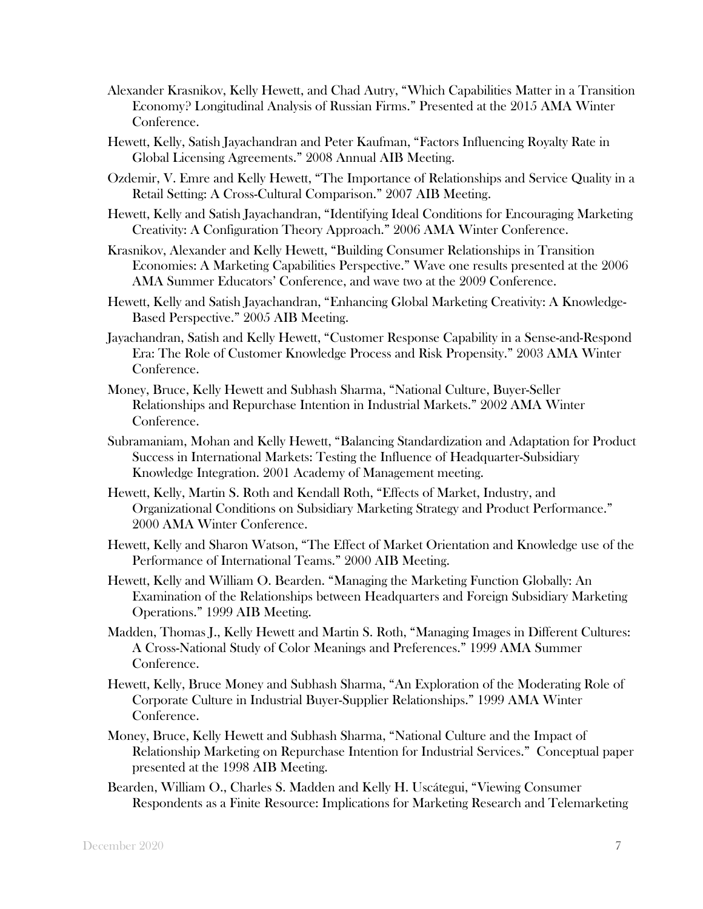- Alexander Krasnikov, Kelly Hewett, and Chad Autry, "Which Capabilities Matter in a Transition Economy? Longitudinal Analysis of Russian Firms." Presented at the 2015 AMA Winter Conference.
- Hewett, Kelly, Satish Jayachandran and Peter Kaufman, "Factors Influencing Royalty Rate in Global Licensing Agreements." 2008 Annual AIB Meeting.
- Ozdemir, V. Emre and Kelly Hewett, "The Importance of Relationships and Service Quality in a Retail Setting: A Cross-Cultural Comparison." 2007 AIB Meeting.
- Hewett, Kelly and Satish Jayachandran, "Identifying Ideal Conditions for Encouraging Marketing Creativity: A Configuration Theory Approach." 2006 AMA Winter Conference.
- Krasnikov, Alexander and Kelly Hewett, "Building Consumer Relationships in Transition Economies: A Marketing Capabilities Perspective." Wave one results presented at the 2006 AMA Summer Educators' Conference, and wave two at the 2009 Conference.
- Hewett, Kelly and Satish Jayachandran, "Enhancing Global Marketing Creativity: A Knowledge-Based Perspective." 2005 AIB Meeting.
- Jayachandran, Satish and Kelly Hewett, "Customer Response Capability in a Sense-and-Respond Era: The Role of Customer Knowledge Process and Risk Propensity." 2003 AMA Winter Conference.
- Money, Bruce, Kelly Hewett and Subhash Sharma, "National Culture, Buyer-Seller Relationships and Repurchase Intention in Industrial Markets." 2002 AMA Winter Conference.
- Subramaniam, Mohan and Kelly Hewett, "Balancing Standardization and Adaptation for Product Success in International Markets: Testing the Influence of Headquarter-Subsidiary Knowledge Integration. 2001 Academy of Management meeting.
- Hewett, Kelly, Martin S. Roth and Kendall Roth, "Effects of Market, Industry, and Organizational Conditions on Subsidiary Marketing Strategy and Product Performance." 2000 AMA Winter Conference.
- Hewett, Kelly and Sharon Watson, "The Effect of Market Orientation and Knowledge use of the Performance of International Teams." 2000 AIB Meeting.
- Hewett, Kelly and William O. Bearden. "Managing the Marketing Function Globally: An Examination of the Relationships between Headquarters and Foreign Subsidiary Marketing Operations." 1999 AIB Meeting.
- Madden, Thomas J., Kelly Hewett and Martin S. Roth, "Managing Images in Different Cultures: A Cross-National Study of Color Meanings and Preferences." 1999 AMA Summer Conference.
- Hewett, Kelly, Bruce Money and Subhash Sharma, "An Exploration of the Moderating Role of Corporate Culture in Industrial Buyer-Supplier Relationships." 1999 AMA Winter Conference.
- Money, Bruce, Kelly Hewett and Subhash Sharma, "National Culture and the Impact of Relationship Marketing on Repurchase Intention for Industrial Services." Conceptual paper presented at the 1998 AIB Meeting.
- Bearden, William O., Charles S. Madden and Kelly H. Uscátegui, "Viewing Consumer Respondents as a Finite Resource: Implications for Marketing Research and Telemarketing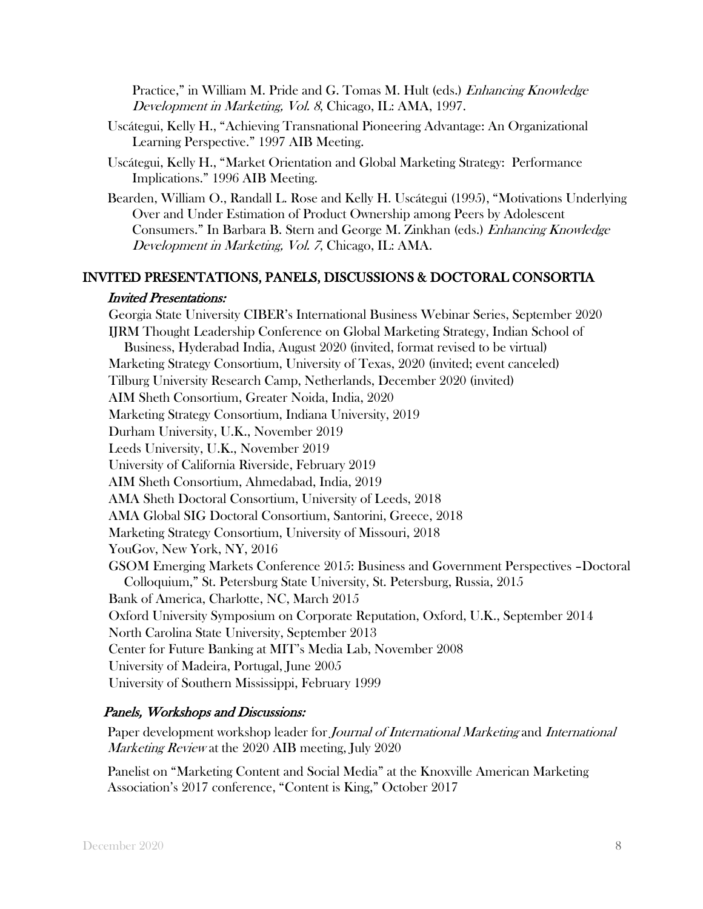Practice," in William M. Pride and G. Tomas M. Hult (eds.) *Enhancing Knowledge* Development in Marketing, Vol. 8, Chicago, IL: AMA, 1997.

- Uscátegui, Kelly H., "Achieving Transnational Pioneering Advantage: An Organizational Learning Perspective." 1997 AIB Meeting.
- Uscátegui, Kelly H., "Market Orientation and Global Marketing Strategy: Performance Implications." 1996 AIB Meeting.

Bearden, William O., Randall L. Rose and Kelly H. Uscátegui (1995), "Motivations Underlying Over and Under Estimation of Product Ownership among Peers by Adolescent Consumers." In Barbara B. Stern and George M. Zinkhan (eds.) Enhancing Knowledge Development in Marketing, Vol. 7, Chicago, IL: AMA.

#### INVITED PRESENTATIONS, PANELS, DISCUSSIONS & DOCTORAL CONSORTIA

#### Invited Presentations:

Georgia State University CIBER's International Business Webinar Series, September 2020 IJRM Thought Leadership Conference on Global Marketing Strategy, Indian School of Business, Hyderabad India, August 2020 (invited, format revised to be virtual) Marketing Strategy Consortium, University of Texas, 2020 (invited; event canceled) Tilburg University Research Camp, Netherlands, December 2020 (invited) AIM Sheth Consortium, Greater Noida, India, 2020 Marketing Strategy Consortium, Indiana University, 2019 Durham University, U.K., November 2019 Leeds University, U.K., November 2019 University of California Riverside, February 2019 AIM Sheth Consortium, Ahmedabad, India, 2019 AMA Sheth Doctoral Consortium, University of Leeds, 2018 AMA Global SIG Doctoral Consortium, Santorini, Greece, 2018 Marketing Strategy Consortium, University of Missouri, 2018 YouGov, New York, NY, 2016 GSOM Emerging Markets Conference 2015: Business and Government Perspectives –Doctoral Colloquium," St. Petersburg State University, St. Petersburg, Russia, 2015 Bank of America, Charlotte, NC, March 2015 Oxford University Symposium on Corporate Reputation, Oxford, U.K., September 2014 North Carolina State University, September 2013 Center for Future Banking at MIT's Media Lab, November 2008 University of Madeira, Portugal, June 2005 University of Southern Mississippi, February 1999

### Panels, Workshops and Discussions:

Paper development workshop leader for *Journal of International Marketing* and *International* Marketing Review at the 2020 AIB meeting, July 2020

Panelist on "Marketing Content and Social Media" at the Knoxville American Marketing Association's 2017 conference, "Content is King," October 2017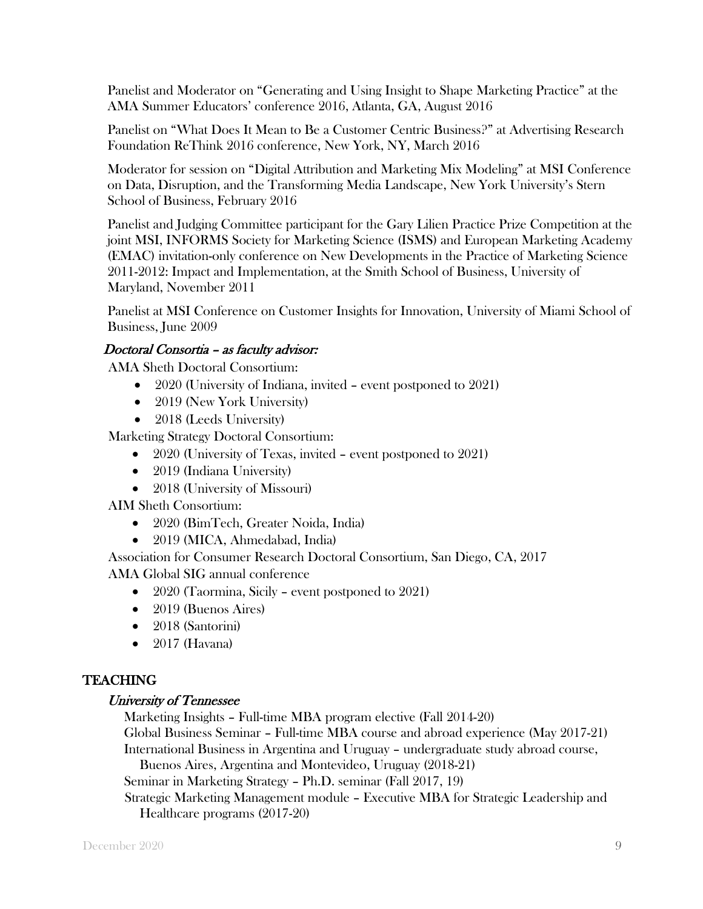Panelist and Moderator on "Generating and Using Insight to Shape Marketing Practice" at the AMA Summer Educators' conference 2016, Atlanta, GA, August 2016

Panelist on "What Does It Mean to Be a Customer Centric Business?" at Advertising Research Foundation ReThink 2016 conference, New York, NY, March 2016

Moderator for session on "Digital Attribution and Marketing Mix Modeling" at MSI Conference on Data, Disruption, and the Transforming Media Landscape, New York University's Stern School of Business, February 2016

Panelist and Judging Committee participant for the Gary Lilien Practice Prize Competition at the joint MSI, INFORMS Society for Marketing Science (ISMS) and European Marketing Academy (EMAC) invitation-only conference on New Developments in the Practice of Marketing Science 2011-2012: Impact and Implementation, at the Smith School of Business, University of Maryland, November 2011

Panelist at MSI Conference on Customer Insights for Innovation, University of Miami School of Business, June 2009

## Doctoral Consortia – as faculty advisor:

AMA Sheth Doctoral Consortium:

- 2020 (University of Indiana, invited event postponed to 2021)
- 2019 (New York University)
- 2018 (Leeds University)

Marketing Strategy Doctoral Consortium:

- 2020 (University of Texas, invited event postponed to 2021)
- 2019 (Indiana University)
- 2018 (University of Missouri)

AIM Sheth Consortium:

- 2020 (BimTech, Greater Noida, India)
- 2019 (MICA, Ahmedabad, India)

Association for Consumer Research Doctoral Consortium, San Diego, CA, 2017

AMA Global SIG annual conference

- 2020 (Taormina, Sicily event postponed to 2021)
- 2019 (Buenos Aires)
- 2018 (Santorini)
- 2017 (Havana)

## TEACHING

### University of Tennessee

Marketing Insights – Full-time MBA program elective (Fall 2014-20)

Global Business Seminar – Full-time MBA course and abroad experience (May 2017-21) International Business in Argentina and Uruguay – undergraduate study abroad course,

Buenos Aires, Argentina and Montevideo, Uruguay (2018-21)

Seminar in Marketing Strategy – Ph.D. seminar (Fall 2017, 19)

 Strategic Marketing Management module – Executive MBA for Strategic Leadership and Healthcare programs (2017-20)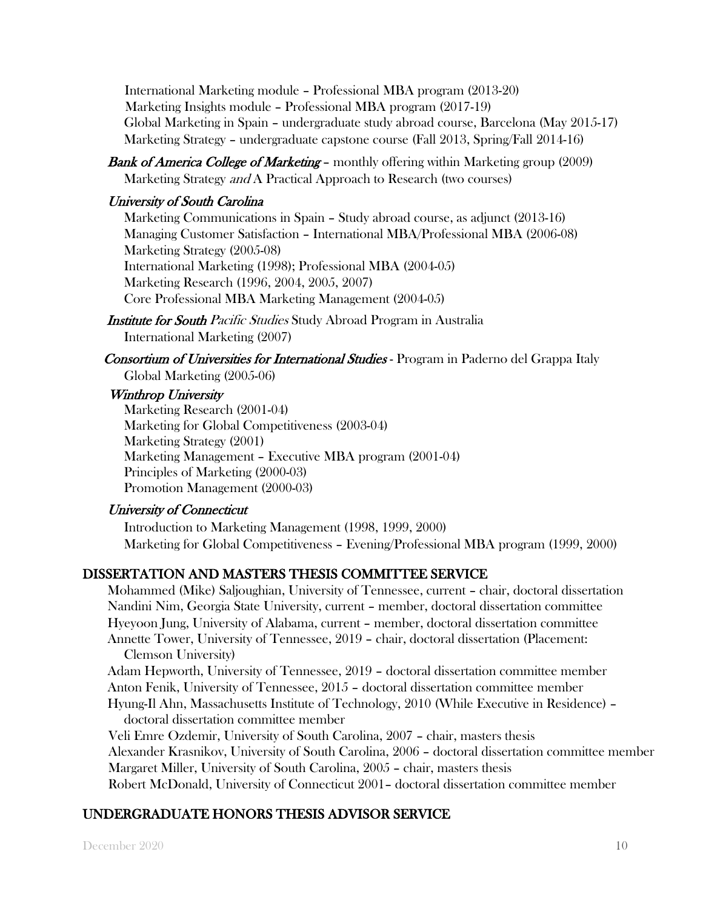International Marketing module – Professional MBA program (2013-20) Marketing Insights module – Professional MBA program (2017-19) Global Marketing in Spain – undergraduate study abroad course, Barcelona (May 2015-17) Marketing Strategy – undergraduate capstone course (Fall 2013, Spring/Fall 2014-16)

**Bank of America College of Marketing –** monthly offering within Marketing group (2009) Marketing Strategy *and* A Practical Approach to Research (two courses)

## University of South Carolina

Marketing Communications in Spain – Study abroad course, as adjunct (2013-16) Managing Customer Satisfaction – International MBA/Professional MBA (2006-08) Marketing Strategy (2005-08) International Marketing (1998); Professional MBA (2004-05) Marketing Research (1996, 2004, 2005, 2007) Core Professional MBA Marketing Management (2004-05)

Institute for South Pacific Studies Study Abroad Program in Australia International Marketing (2007)

Consortium of Universities for International Studies - Program in Paderno del Grappa Italy Global Marketing (2005-06)

## Winthrop University

Marketing Research (2001-04) Marketing for Global Competitiveness (2003-04) Marketing Strategy (2001) Marketing Management – Executive MBA program (2001-04) Principles of Marketing (2000-03) Promotion Management (2000-03)

# University of Connecticut

Introduction to Marketing Management (1998, 1999, 2000) Marketing for Global Competitiveness – Evening/Professional MBA program (1999, 2000)

# DISSERTATION AND MASTERS THESIS COMMITTEE SERVICE

Mohammed (Mike) Saljoughian, University of Tennessee, current – chair, doctoral dissertation Nandini Nim, Georgia State University, current – member, doctoral dissertation committee Hyeyoon Jung, University of Alabama, current – member, doctoral dissertation committee Annette Tower, University of Tennessee, 2019 – chair, doctoral dissertation (Placement: Clemson University)

Adam Hepworth, University of Tennessee, 2019 – doctoral dissertation committee member Anton Fenik, University of Tennessee, 2015 – doctoral dissertation committee member Hyung-Il Ahn, Massachusetts Institute of Technology, 2010 (While Executive in Residence) – doctoral dissertation committee member

Veli Emre Ozdemir, University of South Carolina, 2007 – chair, masters thesis Alexander Krasnikov, University of South Carolina, 2006 – doctoral dissertation committee member Margaret Miller, University of South Carolina, 2005 – chair, masters thesis Robert McDonald, University of Connecticut 2001– doctoral dissertation committee member

# UNDERGRADUATE HONORS THESIS ADVISOR SERVICE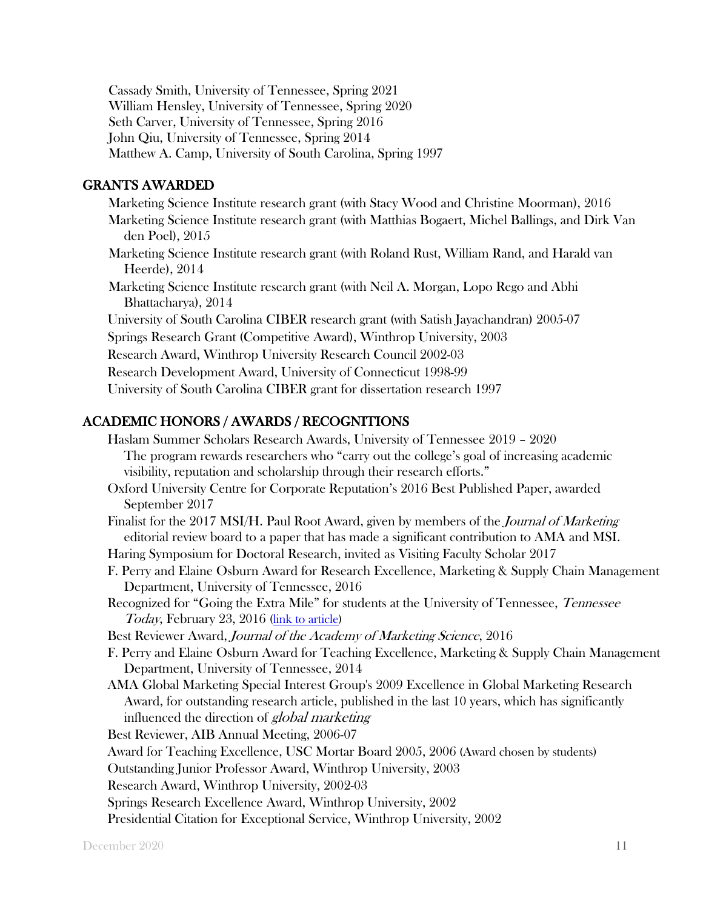Cassady Smith, University of Tennessee, Spring 2021 William Hensley, University of Tennessee, Spring 2020 Seth Carver, University of Tennessee, Spring 2016 John Qiu, University of Tennessee, Spring 2014 Matthew A. Camp, University of South Carolina, Spring 1997

## GRANTS AWARDED

Marketing Science Institute research grant (with Stacy Wood and Christine Moorman), 2016 Marketing Science Institute research grant (with Matthias Bogaert, Michel Ballings, and Dirk Van den Poel), 2015 Marketing Science Institute research grant (with Roland Rust, William Rand, and Harald van Heerde), 2014 Marketing Science Institute research grant (with Neil A. Morgan, Lopo Rego and Abhi Bhattacharya), 2014 University of South Carolina CIBER research grant (with Satish Jayachandran) 2005-07 Springs Research Grant (Competitive Award), Winthrop University, 2003 Research Award, Winthrop University Research Council 2002-03 Research Development Award, University of Connecticut 1998-99

University of South Carolina CIBER grant for dissertation research 1997

## ACADEMIC HONORS / AWARDS / RECOGNITIONS

Haslam Summer Scholars Research Awards, University of Tennessee 2019 – 2020 The program rewards researchers who "carry out the college's goal of increasing academic visibility, reputation and scholarship through their research efforts." Oxford University Centre for Corporate Reputation's 2016 Best Published Paper, awarded September 2017 Finalist for the 2017 MSI/H. Paul Root Award, given by members of the *Journal of Marketing* editorial review board to a paper that has made a significant contribution to AMA and MSI. Haring Symposium for Doctoral Research, invited as Visiting Faculty Scholar 2017 F. Perry and Elaine Osburn Award for Research Excellence, Marketing & Supply Chain Management Department, University of Tennessee, 2016 Recognized for "Going the Extra Mile" for students at the University of Tennessee, *Tennessee* Today, February 23, 2016 (link to article) Best Reviewer Award, Journal of the Academy of Marketing Science, 2016 F. Perry and Elaine Osburn Award for Teaching Excellence, Marketing & Supply Chain Management Department, University of Tennessee, 2014 AMA Global Marketing Special Interest Group's 2009 Excellence in Global Marketing Research Award, for outstanding research article, published in the last 10 years, which has significantly influenced the direction of *global marketing* Best Reviewer, AIB Annual Meeting, 2006-07 Award for Teaching Excellence, USC Mortar Board 2005, 2006 (Award chosen by students) Outstanding Junior Professor Award, Winthrop University, 2003 Research Award, Winthrop University, 2002-03 Springs Research Excellence Award, Winthrop University, 2002 Presidential Citation for Exceptional Service, Winthrop University, 2002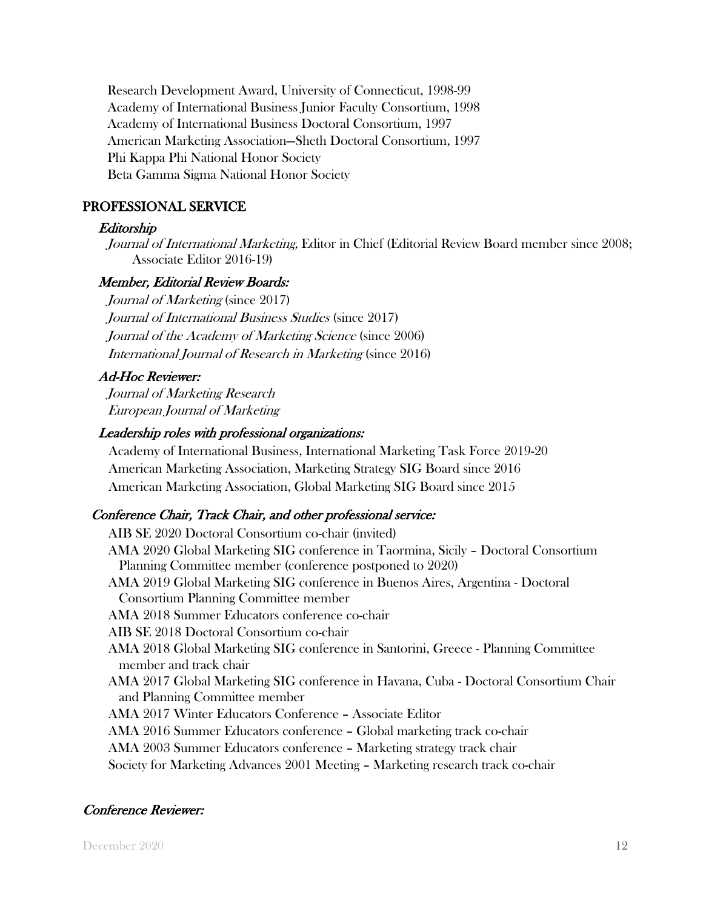Research Development Award, University of Connecticut, 1998-99 Academy of International Business Junior Faculty Consortium, 1998 Academy of International Business Doctoral Consortium, 1997 American Marketing Association—Sheth Doctoral Consortium, 1997 Phi Kappa Phi National Honor Society Beta Gamma Sigma National Honor Society

### PROFESSIONAL SERVICE

### Editorship

Journal of International Marketing, Editor in Chief (Editorial Review Board member since 2008; Associate Editor 2016-19)

### Member, Editorial Review Boards:

Journal of Marketing (since 2017) Journal of International Business Studies (since 2017) Journal of the Academy of Marketing Science (since 2006) International Journal of Research in Marketing (since 2016)

## Ad-Hoc Reviewer:

Journal of Marketing Research European Journal of Marketing

### Leadership roles with professional organizations:

Academy of International Business, International Marketing Task Force 2019-20 American Marketing Association, Marketing Strategy SIG Board since 2016 American Marketing Association, Global Marketing SIG Board since 2015

## Conference Chair, Track Chair, and other professional service:

AIB SE 2020 Doctoral Consortium co-chair (invited) AMA 2020 Global Marketing SIG conference in Taormina, Sicily – Doctoral Consortium Planning Committee member (conference postponed to 2020) AMA 2019 Global Marketing SIG conference in Buenos Aires, Argentina - Doctoral Consortium Planning Committee member AMA 2018 Summer Educators conference co-chair AIB SE 2018 Doctoral Consortium co-chair AMA 2018 Global Marketing SIG conference in Santorini, Greece - Planning Committee member and track chair AMA 2017 Global Marketing SIG conference in Havana, Cuba - Doctoral Consortium Chair and Planning Committee member AMA 2017 Winter Educators Conference – Associate Editor AMA 2016 Summer Educators conference – Global marketing track co-chair AMA 2003 Summer Educators conference – Marketing strategy track chair Society for Marketing Advances 2001 Meeting – Marketing research track co-chair

## Conference Reviewer: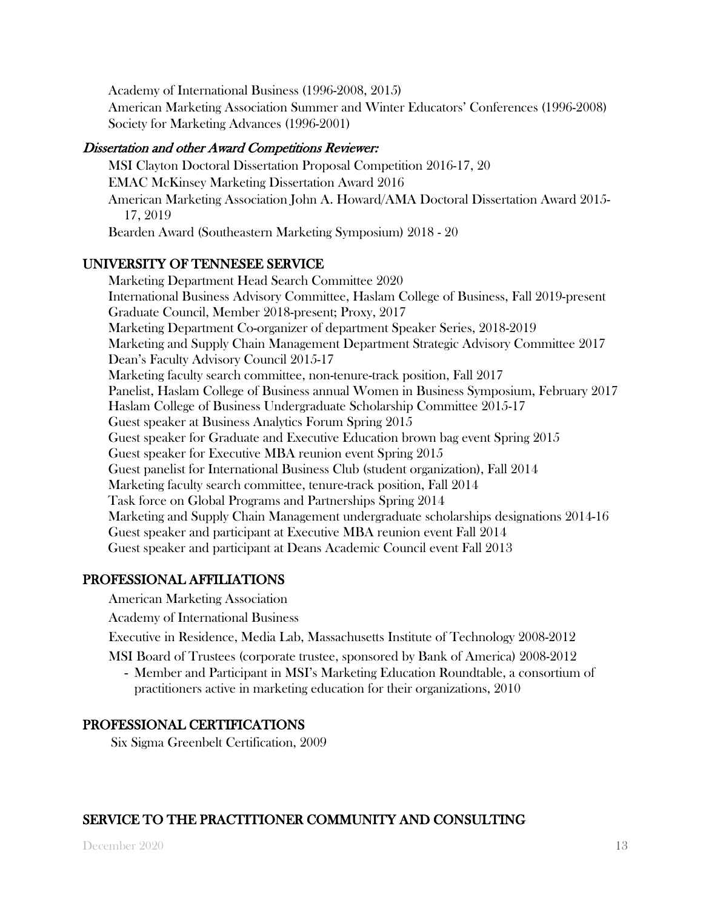Academy of International Business (1996-2008, 2015)

American Marketing Association Summer and Winter Educators' Conferences (1996-2008) Society for Marketing Advances (1996-2001)

### Dissertation and other Award Competitions Reviewer:

MSI Clayton Doctoral Dissertation Proposal Competition 2016-17, 20 EMAC McKinsey Marketing Dissertation Award 2016 American Marketing Association John A. Howard/AMA Doctoral Dissertation Award 2015- 17, 2019 Bearden Award (Southeastern Marketing Symposium) 2018 - 20

## UNIVERSITY OF TENNESEE SERVICE

Marketing Department Head Search Committee 2020 International Business Advisory Committee, Haslam College of Business, Fall 2019-present Graduate Council, Member 2018-present; Proxy, 2017 Marketing Department Co-organizer of department Speaker Series, 2018-2019 Marketing and Supply Chain Management Department Strategic Advisory Committee 2017 Dean's Faculty Advisory Council 2015-17 Marketing faculty search committee, non-tenure-track position, Fall 2017 Panelist, Haslam College of Business annual Women in Business Symposium, February 2017 Haslam College of Business Undergraduate Scholarship Committee 2015-17 Guest speaker at Business Analytics Forum Spring 2015 Guest speaker for Graduate and Executive Education brown bag event Spring 2015 Guest speaker for Executive MBA reunion event Spring 2015 Guest panelist for International Business Club (student organization), Fall 2014 Marketing faculty search committee, tenure-track position, Fall 2014 Task force on Global Programs and Partnerships Spring 2014 Marketing and Supply Chain Management undergraduate scholarships designations 2014-16 Guest speaker and participant at Executive MBA reunion event Fall 2014 \Guest speaker and participant at Deans Academic Council event Fall 2013

## PROFESSIONAL AFFILIATIONS

American Marketing Association

Academy of International Business

Executive in Residence, Media Lab, Massachusetts Institute of Technology 2008-2012

- MSI Board of Trustees (corporate trustee, sponsored by Bank of America) 2008-2012
	- Member and Participant in MSI's Marketing Education Roundtable, a consortium of practitioners active in marketing education for their organizations, 2010

## PROFESSIONAL CERTIFICATIONS

Six Sigma Greenbelt Certification, 2009

## SERVICE TO THE PRACTITIONER COMMUNITY AND CONSULTING